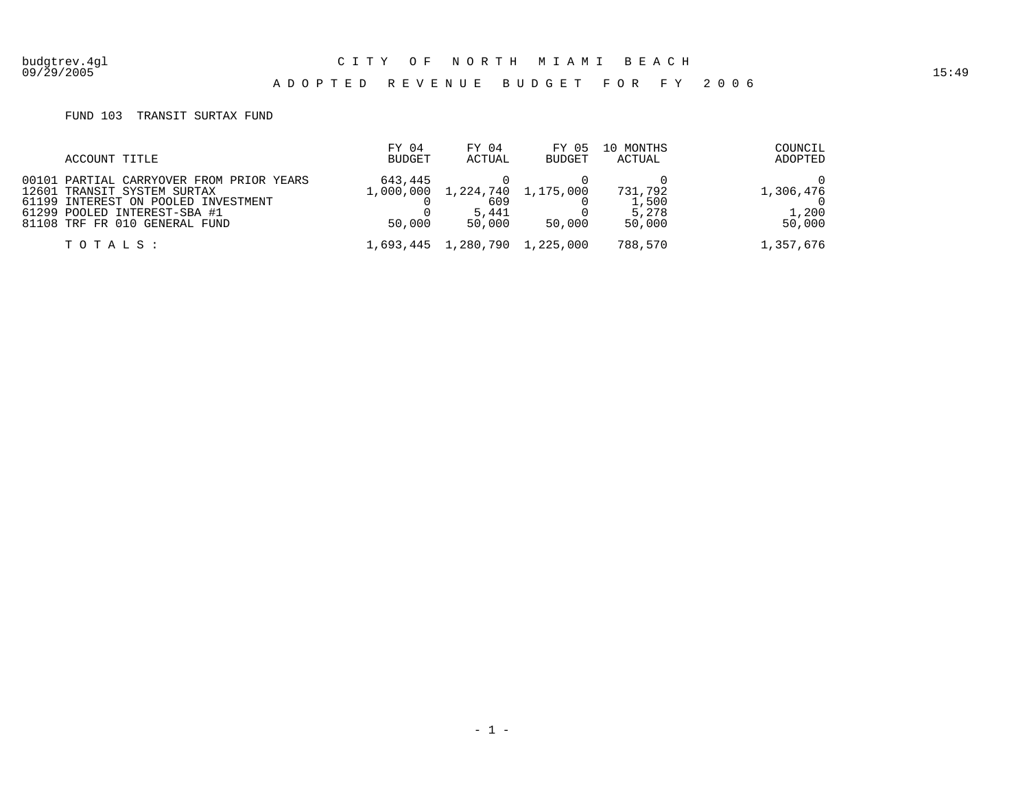09/29/2005 15:49

## A D O P T E D R E V E N U E B U D G E T F O R F Y 2 0 0 6

## FUND 103 TRANSIT SURTAX FUND

| ACCOUNT TITLE                                                           | FY 04<br>BUDGET | FY 04<br>ACTUAL                         | FY 05<br><b>BUDGET</b> | 10 MONTHS<br>ACTUAL | COUNCIL<br>ADOPTED  |
|-------------------------------------------------------------------------|-----------------|-----------------------------------------|------------------------|---------------------|---------------------|
| 00101 PARTIAL CARRYOVER FROM PRIOR YEARS<br>12601 TRANSIT SYSTEM SURTAX | 643,445         | 1,000,000 1,224,740 1,175,000           |                        | 731,792             | 1,306,476           |
| 61199 INTEREST ON POOLED INVESTMENT<br>61299 POOLED INTEREST-SBA #1     |                 | 609<br>5,441                            |                        | 1,500<br>5,278      | 1,200               |
| 81108 TRF FR 010 GENERAL FUND<br>TOTALS :                               | 50,000          | 50.000<br>1,693,445 1,280,790 1,225,000 | 50,000                 | 50,000<br>788,570   | 50,000<br>1,357,676 |
|                                                                         |                 |                                         |                        |                     |                     |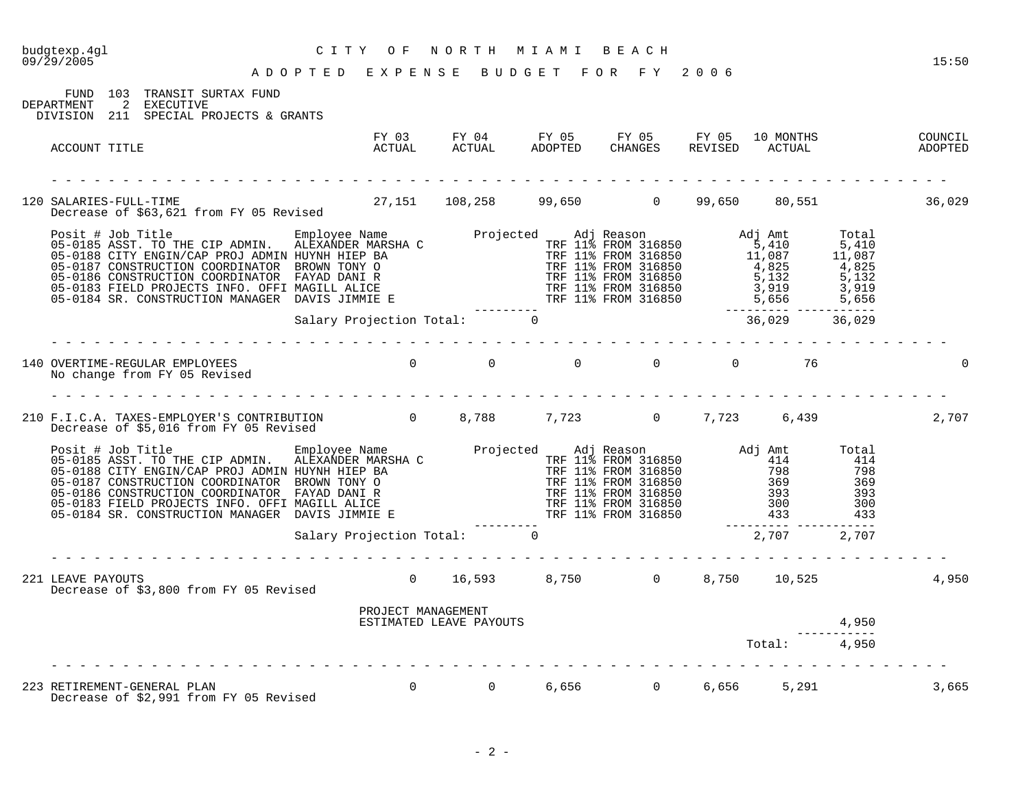| CITY OF NORTH MIAMI BEACH<br>ADOPTED EXPENSE BUDGET FOR FY 2006<br>budgtexp.4gl<br>09/29/2005                                                                                                                                           |                            |                                                              |  |              |       | 15:50              |
|-----------------------------------------------------------------------------------------------------------------------------------------------------------------------------------------------------------------------------------------|----------------------------|--------------------------------------------------------------|--|--------------|-------|--------------------|
| FUND 103 TRANSIT SURTAX FUND<br>DEPARTMENT 2 EXECUTIVE<br>DIVISION 211 SPECIAL PROJECTS & GRANTS                                                                                                                                        |                            |                                                              |  |              |       |                    |
| ACCOUNT TITLE                                                                                                                                                                                                                           |                            |                                                              |  |              |       | COUNCIL<br>ADOPTED |
| 120 SALARIES-FULL-TIME 108,258 99,650 0 99,650 80,551 36,029<br>Decrease of \$63,621 from FY 05 Revised 27,151 108,258 99,650 0 99,650 80,551                                                                                           |                            |                                                              |  |              |       |                    |
| Posit # Job Title Employee Name Projected Adj Reason Adj Amt Total<br>05-0185 ASST. TO THE CIP ADMIN HULEXANDER MARSHA C<br>05-0186 CONSTRUCTION CORDINATOR BROWN TEUR DAY<br>05-0186 CONSTRUCTION CORDINATOR FAYAD DANI R<br>05-0186   |                            |                                                              |  |              |       |                    |
|                                                                                                                                                                                                                                         |                            |                                                              |  |              |       |                    |
| 140 OVERTIME-REGULAR EMPLOYEES<br>No change from FY 05 Revised                                                                                                                                                                          |                            | $\begin{matrix} 0 & 0 & 0 & 0 & 0 & 0 & 0 & 76 \end{matrix}$ |  |              |       |                    |
| 210 F.I.C.A. TAXES-EMPLOYER'S CONTRIBUTION 0 8,788 7,723 0 7,723 6,439<br>Decrease of \$5,016 from FY 05 Revised                                                                                                                        |                            |                                                              |  |              |       | 2,707              |
| Posit # Job Title<br>05-0185 ASST. TO THE CIP ADMIN. ALEXANDER MARSHA C<br>05-0188 CITY ENGIN/CAP PROJ ADMIN HUYNH HIEP BA<br>05-0187 CONSTRUCTION COORDINATOR BROWN TONY O<br>05-0187 CONSTRUCTION COORDINATOR BROWN TONY O<br>05-0188 |                            |                                                              |  |              |       |                    |
|                                                                                                                                                                                                                                         | Salary Projection Total: 0 | .                                                            |  | 2,707 2,707  |       |                    |
| 221 LEAVE PAYOUTS<br>Decrease of \$3,800 from FY 05 Revised                                                                                                                                                                             |                            | 0 16,593 8,750 0 8,750 10,525                                |  |              |       | 4,950              |
|                                                                                                                                                                                                                                         |                            | PROJECT MANAGEMENT<br>ESTIMATED LEAVE PAYOUTS                |  | Total: 4,950 | 4,950 |                    |
| 223 RETIREMENT-GENERAL PLAN<br>Decrease of \$2,991 from FY 05 Revised                                                                                                                                                                   |                            | 0 0 6,656 0 6,656 5,291                                      |  |              |       | 3,665              |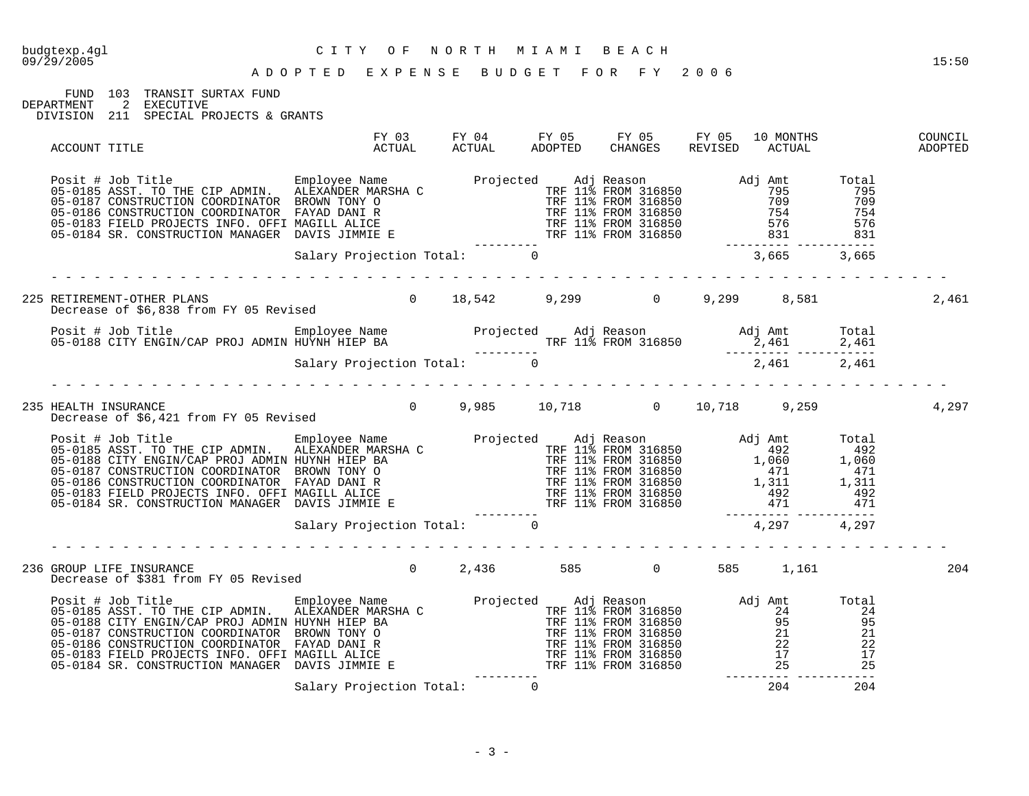| budgtexp.4gl<br>09/29/2005 | CITY OF NORTH MIAMI BEACH<br>ADOPTED EXPENSE BUDGET FOR FY 2006                                                                                                                                                                                                                                                                                                                                                                                                                                |                            |  |  |         | 15:50 |
|----------------------------|------------------------------------------------------------------------------------------------------------------------------------------------------------------------------------------------------------------------------------------------------------------------------------------------------------------------------------------------------------------------------------------------------------------------------------------------------------------------------------------------|----------------------------|--|--|---------|-------|
|                            | FUND 103 TRANSIT SURTAX FUND<br>DEPARTMENT 2 EXECUTIVE<br>DIVISION 211 SPECIAL PROJECTS & GRANTS                                                                                                                                                                                                                                                                                                                                                                                               |                            |  |  |         |       |
|                            | ACCOUNT TITLE                                                                                                                                                                                                                                                                                                                                                                                                                                                                                  |                            |  |  |         |       |
|                            | $\begin{tabular}{lllllllllllllllllll} \hline\texttt{Positive} & \texttt{Empolve Name} & \texttt{Propjected} & \texttt{Adj Reason} & \texttt{Adj} & \texttt{Ant} & \texttt{Total} \\ 05-0185 ASST. TO THE CIP ADMIN. & \texttt{ALEXANDER MARKSIA} & \texttt{TPF 11& FROM 316850} & \texttt{Adj} & \texttt{Ant} & \texttt{Total} \\ 05-0187 CONSTRUCTION COORDINATOR & \texttt{BROMI} & \texttt{ORD} & \texttt{ORD} & \texttt{TRF 11& FROM 316850} & \texttt{795} & \texttt{7$                   |                            |  |  |         |       |
|                            |                                                                                                                                                                                                                                                                                                                                                                                                                                                                                                |                            |  |  |         |       |
|                            | 225 RETIREMENT-OTHER PLANS                                                                                                                                                                                                                                                                                                                                                                                                                                                                     |                            |  |  |         | 2,461 |
|                            | Posit # Job Title Employee Name Employee Name Projected Adj Reason Adj Amt Total<br>12,461 2,461 2,461 2,461 11% FROM 316850 2,461 2,461<br>Salary Projection Total: 0 1,461 2,461 2,461 2,461                                                                                                                                                                                                                                                                                                 |                            |  |  |         |       |
|                            |                                                                                                                                                                                                                                                                                                                                                                                                                                                                                                |                            |  |  |         |       |
|                            | 235 HEALTH INSURANCE<br>Decrease of \$6,421 from FY 05 Revised        0    9,985    10,718      0   10,718     9,259                                                                                                                                                                                                                                                                                                                                                                           |                            |  |  |         | 4,297 |
|                            | $\begin{tabular}{lllllllllllllllllllll} \hline\texttt{Positive} & \texttt{Imployee Name} & \texttt{Proployee Name} & \texttt{Proployee Name} & \texttt{Prejected} & \texttt{Adj Reason} & \texttt{Adj Rmt} & \texttt{Total} & \texttt{MEXAMPLE MARK} & \texttt{MEXAMPLE MARK} & \texttt{MEXAMPLE MARK} & \texttt{Projected} & \texttt{Adj} Reason & \texttt{Adj Amt} & \texttt{Total} & \texttt{1492} & \texttt{1492} & \texttt{1406} & \texttt{1407} & \texttt{1408} & \texttt{1409} & \text$ |                            |  |  |         |       |
|                            |                                                                                                                                                                                                                                                                                                                                                                                                                                                                                                |                            |  |  |         |       |
|                            | 236 GROUP LIFE INSURANCE 2,436 585 0 585 1,161<br>Decrease of \$381 from FY 05 Revised                                                                                                                                                                                                                                                                                                                                                                                                         |                            |  |  |         | 204   |
|                            | Posit # Job Title Employee Name Projected Adj Reason Adj Amt Total<br>05-0185 ASST. TO THE CIP ADMIN. ALEXANDER MARSHA C<br>05-0188 CITY ENGIN/CAP PROJ ADMIN HUYNH HIEP BA TRF 11% FROM 316850 95 95<br>05-0187 CONSTRUCTION COORD                                                                                                                                                                                                                                                            |                            |  |  |         |       |
|                            |                                                                                                                                                                                                                                                                                                                                                                                                                                                                                                | Salary Projection Total: 0 |  |  | 204 204 |       |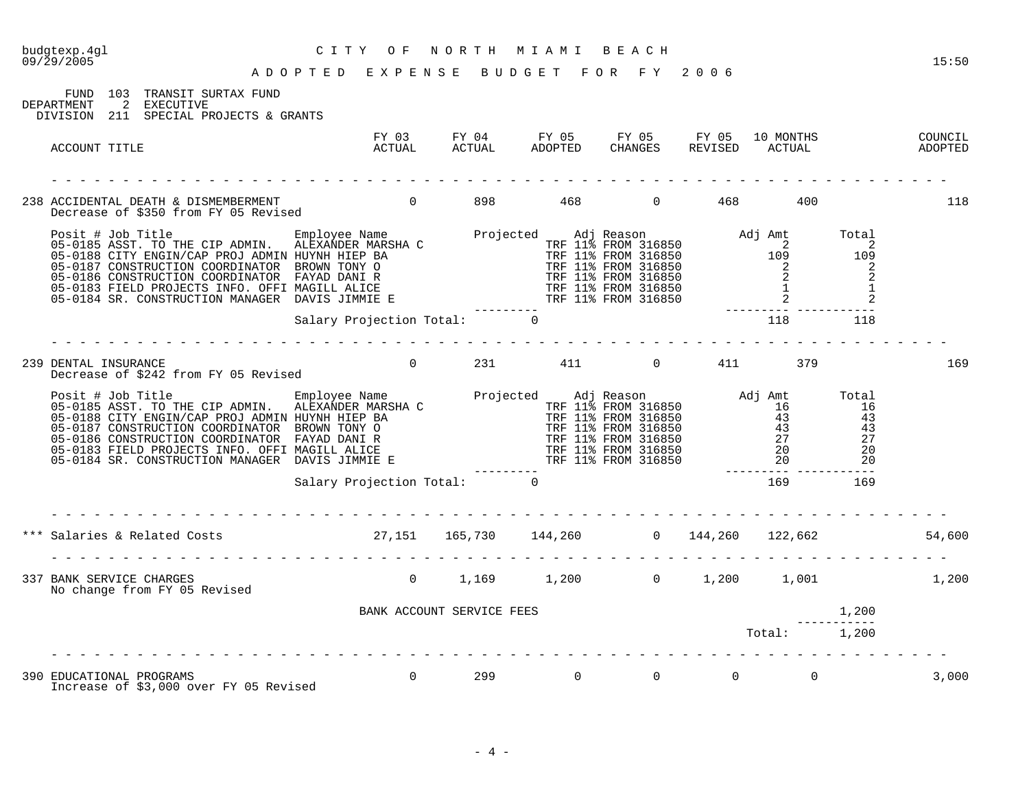| CITY OF NORTH MIAMI BEACH<br>ADOPTED EXPENSE BUDGET FOR FY 2006<br>budgtexp.4gl<br>$09/\bar{2}9/2005$                                                                                                                               |                            |                   |                       |  |                                         | 15:50  |
|-------------------------------------------------------------------------------------------------------------------------------------------------------------------------------------------------------------------------------------|----------------------------|-------------------|-----------------------|--|-----------------------------------------|--------|
| FUND 103 TRANSIT SURTAX FUND<br>DEPARTMENT 2 EXECUTIVE<br>DIVISION 211 SPECIAL PROJECTS & GRANTS                                                                                                                                    |                            |                   |                       |  |                                         |        |
| ACCOUNT TITLE                                                                                                                                                                                                                       |                            |                   |                       |  |                                         |        |
|                                                                                                                                                                                                                                     |                            |                   |                       |  |                                         | 118    |
| Posit # Job Title Employee Name Projected Adj Reason Adj Amt Total<br>05-0185 ASST. TO THE CIP ADMIN. ALEXANDER MARSHA C<br>05-0188 CITY ENGIN/CAP PROJ ADMIN HUYNH HIEP BA TRF 11% FROM 316850 109 109<br>05-0187 CONSTRUCTION COO |                            |                   |                       |  |                                         |        |
|                                                                                                                                                                                                                                     | Salary Projection Total: 0 |                   |                       |  | 118 118                                 |        |
| 239 DENTAL INSURANCE<br>DENTAL INSURANCE<br>Decrease of \$242 from FY 05 Revised         0    231      411      0    411      379                                                                                                   |                            |                   |                       |  |                                         | 169    |
|                                                                                                                                                                                                                                     |                            |                   |                       |  |                                         |        |
|                                                                                                                                                                                                                                     |                            |                   |                       |  |                                         |        |
| *** Salaries & Related Costs                                 27,151     165,730     144,260         0     144,260     122,662                                                                                                       |                            |                   |                       |  |                                         | 54,600 |
| 337 BANK SERVICE CHARGES                                                                                                                                                                                                            |                            |                   |                       |  |                                         |        |
|                                                                                                                                                                                                                                     |                            |                   |                       |  |                                         |        |
|                                                                                                                                                                                                                                     |                            |                   |                       |  | Total: 1,200                            |        |
| 390 EDUCATIONAL PROGRAMS<br>Increase of \$3,000 over FY 05 Revised                                                                                                                                                                  |                            | $0 \qquad \qquad$ | $\overline{0}$<br>299 |  | $\begin{matrix} 0 & 0 & 0 \end{matrix}$ | 3,000  |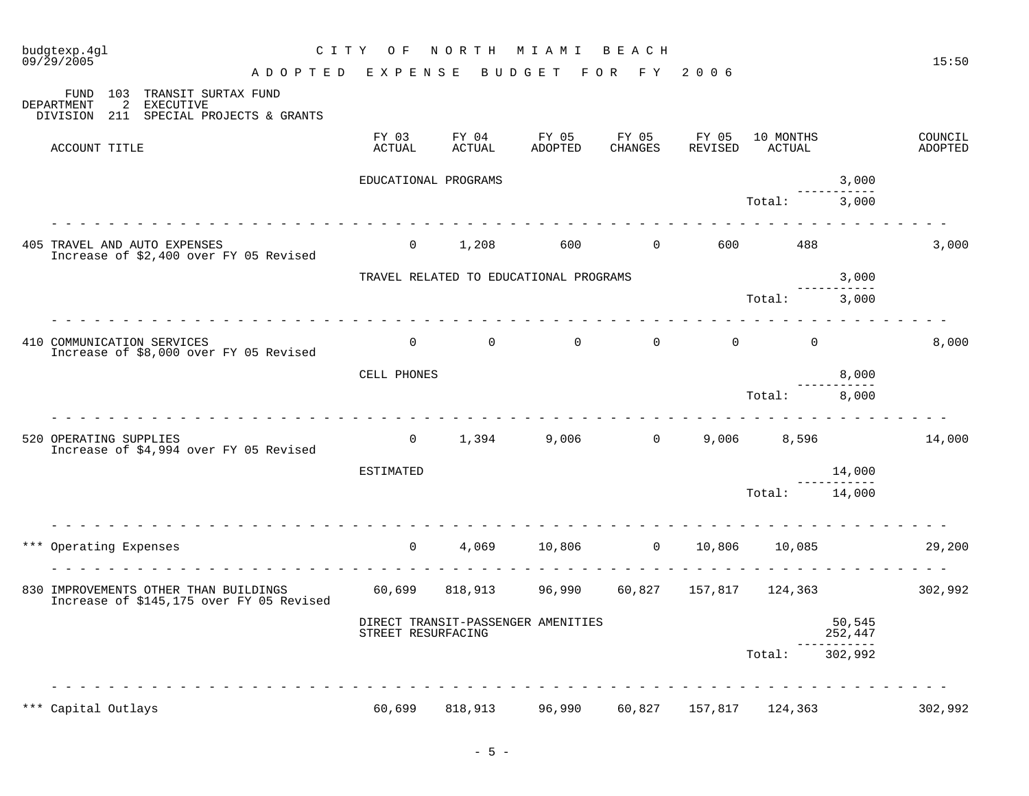| budgtexp.4gl<br>09/29/2005                                                                             | CITY OF              | NORTH           | M I A M I                               | BEACH            |                  |                                              |                   | 15:50              |
|--------------------------------------------------------------------------------------------------------|----------------------|-----------------|-----------------------------------------|------------------|------------------|----------------------------------------------|-------------------|--------------------|
| ADOPTED EXPENSE                                                                                        |                      |                 | BUDGET FOR FY 2006                      |                  |                  |                                              |                   |                    |
| 103 TRANSIT SURTAX FUND<br>FUND<br>DEPARTMENT<br>2 EXECUTIVE<br>DIVISION 211 SPECIAL PROJECTS & GRANTS |                      |                 |                                         |                  |                  |                                              |                   |                    |
| ACCOUNT TITLE                                                                                          | FY 03<br>ACTUAL      | FY 04<br>ACTUAL | FY 05<br>ADOPTED                        | FY 05<br>CHANGES | FY 05<br>REVISED | 10 MONTHS<br>ACTUAL                          |                   | COUNCIL<br>ADOPTED |
|                                                                                                        | EDUCATIONAL PROGRAMS |                 |                                         |                  |                  |                                              | 3,000             |                    |
|                                                                                                        |                      |                 |                                         |                  |                  | Total:                                       | 3,000             |                    |
| 405 TRAVEL AND AUTO EXPENSES<br>Increase of \$2,400 over FY 05 Revised                                 | $\overline{0}$       | 1,208           | 600                                     | $\overline{0}$   | 600              | 488                                          |                   | 3,000              |
|                                                                                                        |                      |                 | TRAVEL RELATED TO EDUCATIONAL PROGRAMS  |                  |                  |                                              | 3,000             |                    |
|                                                                                                        |                      |                 |                                         |                  |                  | Total:                                       | 3,000             |                    |
| 410 COMMUNICATION SERVICES<br>Increase of \$8,000 over FY 05 Revised                                   |                      |                 | $\begin{matrix} 0 & 0 & 0 \end{matrix}$ | $\Omega$         |                  | $\begin{matrix} 0 & 0 \\ 0 & 0 \end{matrix}$ |                   | 8,000              |
|                                                                                                        | CELL PHONES          |                 |                                         |                  |                  |                                              | 8,000             |                    |
|                                                                                                        |                      |                 |                                         |                  |                  | Total: 8,000                                 |                   |                    |
| 520 OPERATING SUPPLIES<br>Increase of \$4,994 over FY 05 Revised                                       |                      | 0 $1,394$       |                                         | $9,006$ 0        |                  | 9,006 8,596                                  |                   | 14,000             |
|                                                                                                        | ESTIMATED            |                 |                                         |                  |                  |                                              | 14,000            |                    |
|                                                                                                        |                      |                 |                                         |                  |                  | Total:                                       | 14,000            |                    |
| *** Operating Expenses<br><u>.</u>                                                                     | $\overline{0}$       |                 | 4,069 10,806 0 10,806 10,085            | .                |                  |                                              |                   | 29,200             |
| 830 IMPROVEMENTS OTHER THAN BUILDINGS 60,699<br>Increase of \$145,175 over FY 05 Revised               |                      |                 | 818,913 96,990                          |                  |                  | 60,827 157,817 124,363 302,992               |                   |                    |
|                                                                                                        | STREET RESURFACING   |                 | DIRECT TRANSIT-PASSENGER AMENITIES      |                  |                  |                                              | 50,545<br>252,447 |                    |
|                                                                                                        |                      |                 |                                         |                  |                  | Total: 302,992                               |                   |                    |
| *** Capital Outlays                                                                                    | 60,699               |                 | 818,913 96,990 60,827 157,817 124,363   |                  |                  |                                              |                   | 302,992            |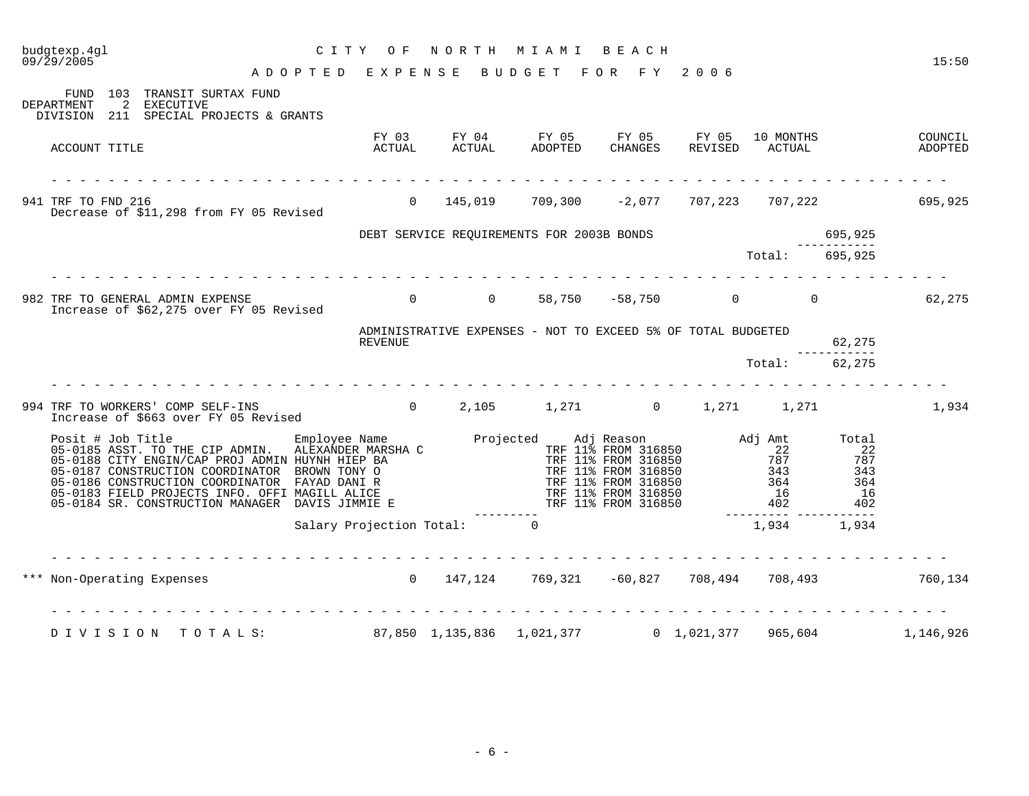| budgtexp.4gl<br>09/29/2005                                                                                                                                                                                                                                                                                  | CITY OF<br>A D O P T E D E X P E N S E B U D G E T F O R F Y 2006 | NORTH MIAMI BEACH                                                                                     |  |               |         | 15:50     |
|-------------------------------------------------------------------------------------------------------------------------------------------------------------------------------------------------------------------------------------------------------------------------------------------------------------|-------------------------------------------------------------------|-------------------------------------------------------------------------------------------------------|--|---------------|---------|-----------|
| FUND 103 TRANSIT SURTAX FUND<br>DEPARTMENT<br>2 EXECUTIVE<br>DIVISION 211 SPECIAL PROJECTS & GRANTS                                                                                                                                                                                                         |                                                                   |                                                                                                       |  |               |         |           |
| ACCOUNT TITLE                                                                                                                                                                                                                                                                                               |                                                                   | FY 03 FY 04 FY 05 FY 05 FY 05 10 MONTHS COUNCIL COUNCIL ACTUAL ADOPTED CHANGES REVISED ACTUAL ADOPTED |  |               |         |           |
| 941 TRF TO FND 216<br>Decrease of \$11,298 from FY 05 Revised                                                                                                                                                                                                                                               |                                                                   | 0  145,019   709,300   –2,077  707,223  707,222        695,925                                        |  |               |         |           |
|                                                                                                                                                                                                                                                                                                             |                                                                   | DEBT SERVICE REQUIREMENTS FOR 2003B BONDS                                                             |  |               | 695,925 |           |
|                                                                                                                                                                                                                                                                                                             |                                                                   |                                                                                                       |  | Total:        | 695,925 |           |
| 982 TRF TO GENERAL ADMIN EXPENSE<br>Increase of \$62,275 over FY 05 Revised                                                                                                                                                                                                                                 |                                                                   | 0 0 58,750 -58,750 0 0 0 62,275                                                                       |  |               |         |           |
|                                                                                                                                                                                                                                                                                                             | REVENUE                                                           | ADMINISTRATIVE EXPENSES - NOT TO EXCEED 5% OF TOTAL BUDGETED                                          |  |               | 62,275  |           |
|                                                                                                                                                                                                                                                                                                             |                                                                   |                                                                                                       |  | Total: 62,275 |         |           |
| TRF TO WORKERS' COMP SELF-INS<br>Increase of \$663 over FY 05 Revised         0    2,105     1,271      0    1,271    1,271<br>994 TRF TO WORKERS' COMP SELF-INS                                                                                                                                            |                                                                   |                                                                                                       |  |               |         | 1,934     |
| $\begin{tabular}{lllllllllllllllllllll} \hline\texttt{Positive} & Employee Name & Projected & Adj Reason & Adj Amt & Total \\ 05-0185 ASST. TO THE CIP ADMIN. ALEXANDER MARSHA & TRF 11% FROM 316850 & 22 & 22 & 22 & 22 & 22 & 22 & 23 & 24 & 25 & 26 & 27 & 28 & 28 & 29 & 20 & 20 & 20 & 20 & 20 & 20 &$ |                                                                   |                                                                                                       |  |               |         |           |
|                                                                                                                                                                                                                                                                                                             | Salary Projection Total: 0                                        |                                                                                                       |  | 1,934 1,934   |         |           |
| *** Non-Operating Expenses 6 147,124 769,321 -60,827 708,494 708,493 760,134                                                                                                                                                                                                                                |                                                                   |                                                                                                       |  |               |         |           |
| DIVISION TOTALS: 87,850 1,135,836 1,021,377 0 1,021,377 965,604                                                                                                                                                                                                                                             |                                                                   |                                                                                                       |  |               |         | 1,146,926 |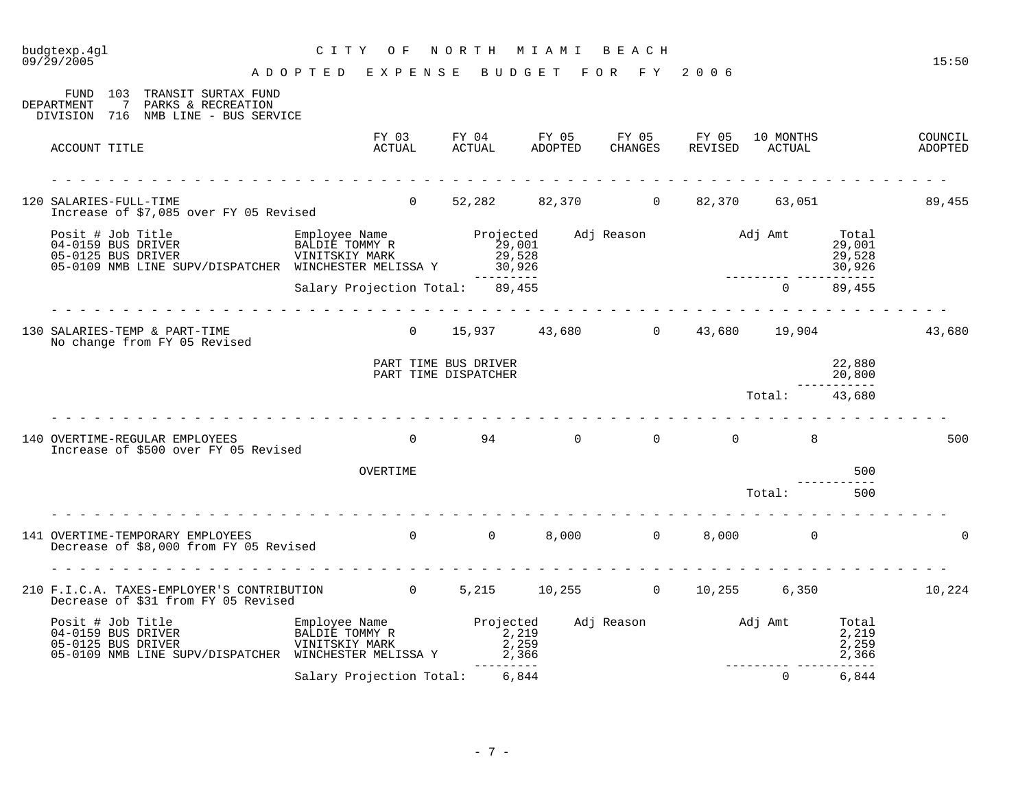| budgtexp.4gl<br>09/29/2005                                                                                                                                                                 | C I T Y<br>O F<br>A D O P T E D E X P E N S E     | NORTH                                        | M I A M I<br>BUDGET FOR FY           | BEACH                   | 2006             |                     |                                     | 15:50              |
|--------------------------------------------------------------------------------------------------------------------------------------------------------------------------------------------|---------------------------------------------------|----------------------------------------------|--------------------------------------|-------------------------|------------------|---------------------|-------------------------------------|--------------------|
| FUND 103 TRANSIT SURTAX FUND<br>DEPARTMENT<br>7<br>PARKS & RECREATION<br>DIVISION 716 NMB LINE - BUS SERVICE                                                                               |                                                   |                                              |                                      |                         |                  |                     |                                     |                    |
| ACCOUNT TITLE                                                                                                                                                                              | FY 03<br>ACTUAL                                   |                                              | FY 04 FY 05<br>ACTUAL ADOPTED        | FY 05<br><b>CHANGES</b> | FY 05<br>REVISED | 10 MONTHS<br>ACTUAL |                                     | COUNCIL<br>ADOPTED |
| 120 SALARIES-FULL-TIME<br>Increase of \$7,085 over FY 05 Revised                                                                                                                           | $\overline{0}$                                    |                                              | 52,282 82,370 0 82,370 63,051 89,455 |                         |                  |                     |                                     |                    |
| Posit # Job Title Employee Name Projected<br>04-0159 BUS DRIVER BALDIE TOMMY R 29,001<br>05-0125 BUS DRIVER VINITSKIY MARK 29,528<br>05-0109 NMB LINE SUPV/DISPATCHER WINCHESTER MELISSA Y |                                                   |                                              | $29,528$<br>30,926<br>11: 89.455     | Adj Reason Madj Amt     |                  |                     | Total<br>29,001<br>29,528<br>30,926 |                    |
|                                                                                                                                                                                            | Salary Projection Total: 89,455                   |                                              |                                      |                         |                  | $\Omega$            | 89,455                              |                    |
| 130 SALARIES-TEMP & PART-TIME<br>No change from FY 05 Revised                                                                                                                              |                                                   |                                              | $0$ 15,937 43,680 0 43,680 19,904    |                         |                  |                     |                                     | 43,680             |
|                                                                                                                                                                                            |                                                   | PART TIME BUS DRIVER<br>PART TIME DISPATCHER |                                      |                         |                  |                     | 22,880<br>20,800<br>-----------     |                    |
|                                                                                                                                                                                            |                                                   |                                              |                                      |                         |                  | Total: 43,680       |                                     |                    |
| 140 OVERTIME-REGULAR EMPLOYEES<br>Increase of \$500 over FY 05 Revised                                                                                                                     | $\overline{0}$                                    |                                              | 94 0                                 | $\overline{0}$          | $\overline{0}$   | 8                   |                                     | 500                |
|                                                                                                                                                                                            | OVERTIME                                          |                                              |                                      |                         |                  |                     | 500                                 |                    |
|                                                                                                                                                                                            |                                                   |                                              |                                      |                         |                  | Total:              | 500                                 |                    |
| 141 OVERTIME-TEMPORARY EMPLOYEES<br>Decrease of \$8,000 from FY 05 Revised                                                                                                                 | $\overline{0}$                                    | $\overline{0}$                               |                                      | 8,000 0                 |                  | 8,000 0             |                                     | $\Omega$           |
| 210 F.I.C.A. TAXES-EMPLOYER'S CONTRIBUTION 60 5,215 10,255 0 10,255 6,350<br>Decrease of \$31 from FY 05 Revised                                                                           |                                                   |                                              |                                      |                         |                  |                     |                                     | 10,224             |
| Posit # Job Title<br>04-0159 BUS DRIVER<br>05-0125 BUS DRIVER<br>05-0109 NMB LINE SUPV/DISPATCHER WINCHESTER MELISSA Y                                                                     | Employee Name<br>BALDIE TOMMY R<br>VINITSKIY MARK | Projected<br>2,219                           | 2,259<br>2,366                       | Adj Reason Madj Amt     |                  |                     | Total<br>2,219<br>2,259<br>2,366    |                    |
|                                                                                                                                                                                            | Salary Projection Total: 6,844                    |                                              |                                      |                         |                  | $\mathbf 0$         | ----------<br>6,844                 |                    |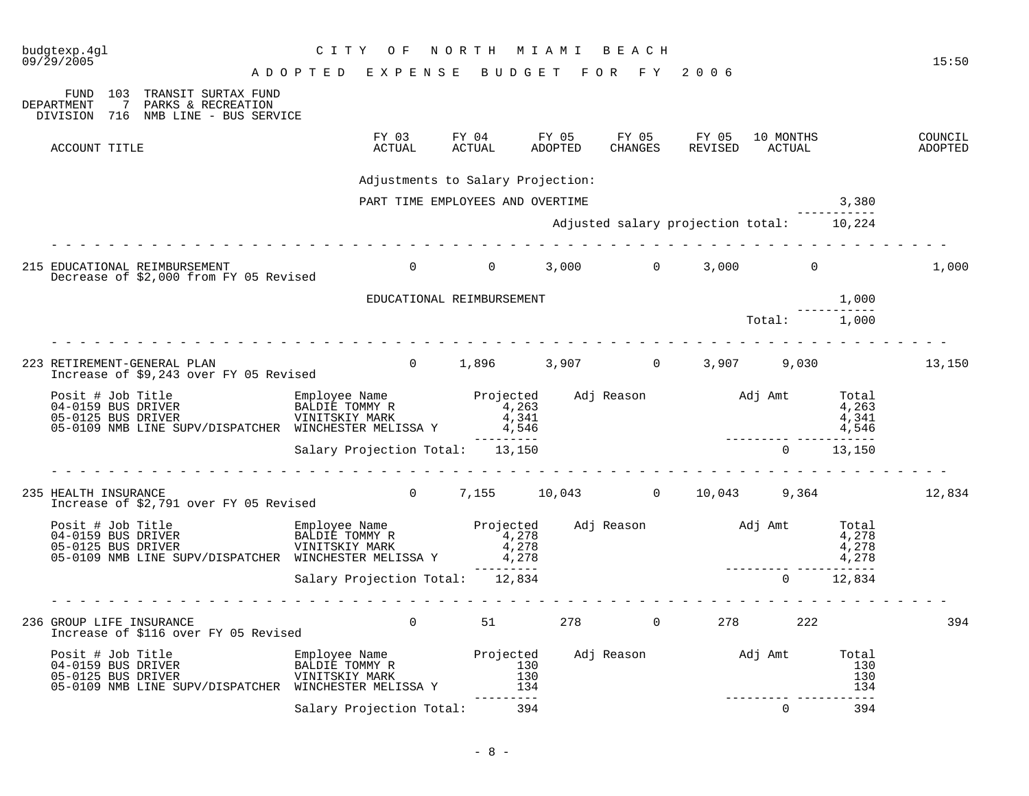| budgtexp.4gl<br>09/29/2005                                                                                                                                                                                                                  | C I T Y<br>O F                  | NORTH MIAMI BEACH                 |         |         |                                          |                          |                   | 15:50              |
|---------------------------------------------------------------------------------------------------------------------------------------------------------------------------------------------------------------------------------------------|---------------------------------|-----------------------------------|---------|---------|------------------------------------------|--------------------------|-------------------|--------------------|
|                                                                                                                                                                                                                                             | ADOPTED EXPENSE                 |                                   |         |         | BUDGET FOR FY 2006                       |                          |                   |                    |
| FUND 103 TRANSIT SURTAX FUND<br>DEPARTMENT<br>7 PARKS & RECREATION<br>DIVISION 716 NMB LINE - BUS SERVICE                                                                                                                                   |                                 |                                   |         |         |                                          |                          |                   |                    |
| ACCOUNT TITLE                                                                                                                                                                                                                               | ACTUAL                          | ACTUAL                            | ADOPTED | CHANGES | FY 03 FY 04 FY 05 FY 05 FY 05 10 MONTHS  | REVISED ACTUAL           |                   | COUNCIL<br>ADOPTED |
|                                                                                                                                                                                                                                             |                                 | Adjustments to Salary Projection: |         |         |                                          |                          |                   |                    |
|                                                                                                                                                                                                                                             |                                 | PART TIME EMPLOYEES AND OVERTIME  |         |         |                                          |                          | 3,380             |                    |
|                                                                                                                                                                                                                                             |                                 |                                   |         |         | Adjusted salary projection total: 10,224 |                          |                   |                    |
| 215 EDUCATIONAL REIMBURSEMENT<br>Decrease of \$2,000 from FY 05 Revised                                                                                                                                                                     |                                 |                                   |         |         | $0$ $0$ $3$ , 000 $0$ $3$ , 000 $0$ $0$  |                          |                   | 1,000              |
|                                                                                                                                                                                                                                             |                                 | EDUCATIONAL REIMBURSEMENT         |         |         |                                          |                          | 1,000             |                    |
|                                                                                                                                                                                                                                             |                                 |                                   |         |         |                                          | Total: 1,000             |                   |                    |
| 223 RETIREMENT-GENERAL PLAN<br>Increase of \$9,243 over FY 05 Revised                                                                                                                                                                       |                                 |                                   |         |         | 0 1,896 3,907 0 3,907 9,030 13,150       |                          |                   |                    |
| 05-0109 NMB LINE SUPV/DISPATCHER WINCHESTER MELISSA Y 4,546                                                                                                                                                                                 |                                 |                                   |         |         |                                          |                          | 4,546             |                    |
|                                                                                                                                                                                                                                             | Salary Projection Total: 13,150 | ----------                        |         |         |                                          | ________________________ | $0 \t 13,150$     |                    |
| 235 HEALTH INSURANCE<br>Increase of \$2,791 over FY 05 Revised                                                                                                                                                                              |                                 |                                   |         |         | 0 7,155 10,043 0 10,043 9,364 12,834     |                          |                   |                    |
|                                                                                                                                                                                                                                             |                                 |                                   |         |         |                                          |                          |                   |                    |
|                                                                                                                                                                                                                                             | Salary Projection Total: 12,834 | ---------                         |         |         |                                          | $\Omega$                 | -------<br>12,834 |                    |
|                                                                                                                                                                                                                                             |                                 |                                   |         |         |                                          |                          |                   |                    |
| 236 GROUP LIFE INSURANCE<br>Increase of \$116 over FY 05 Revised                                                                                                                                                                            |                                 |                                   |         |         | 0 $51$ 278 0 278 222                     |                          |                   | 394                |
| Posit # Job Title Employee Name Projected Adj Reason and Adj Amt Total BALDIE TOMMY R<br>04-0159 BUS DRIVER BALDIE TOMMY R 130<br>05-0126 BMD LINE CURLER VINITIST MARK 130<br>130<br>05-0109 NMB LINE SUPV/DISPATCHER WINCHESTER MELISSA Y |                                 | $\frac{130}{134}$                 |         |         |                                          |                          | 134               |                    |
|                                                                                                                                                                                                                                             | Salary Projection Total: 394    |                                   |         |         |                                          | $\Omega$                 | 394               |                    |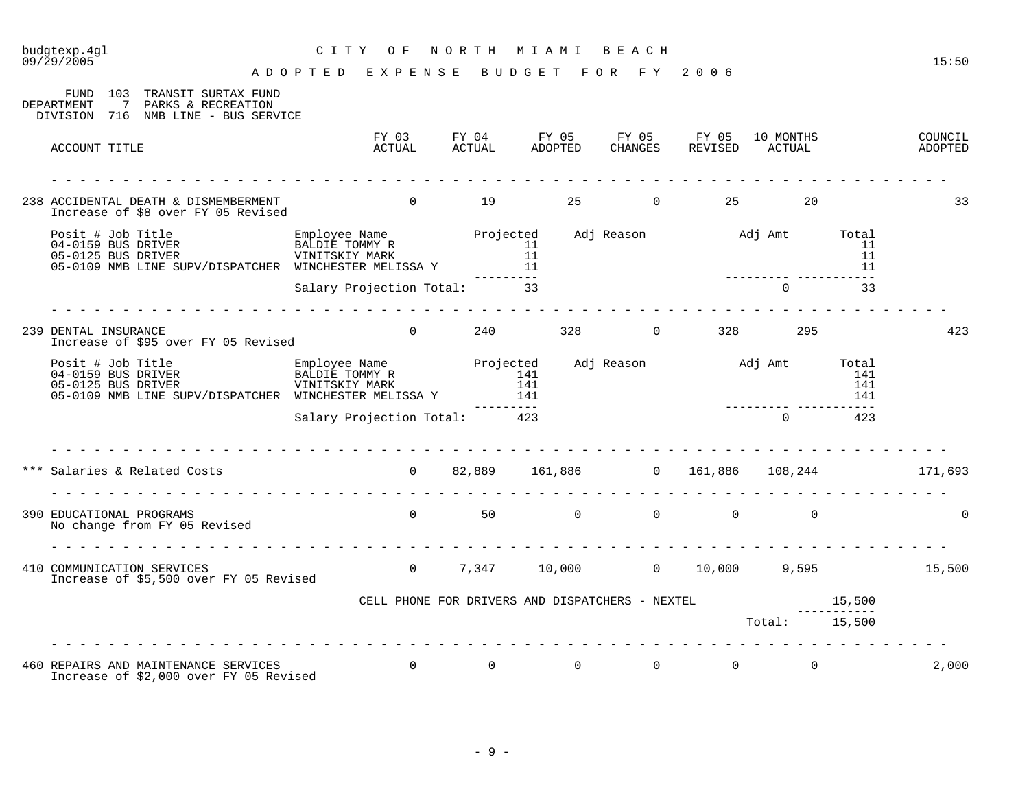| budgtexp.4gl<br>09/29/2005                                                                                                                                                                                                           | C I T Y<br>O F<br>ADOPTED EXPENSE BUDGET FOR FY 2006 |          |              | NORTH MIAMI BEACH |                                                                                         |                               |    | 15:50                                              |
|--------------------------------------------------------------------------------------------------------------------------------------------------------------------------------------------------------------------------------------|------------------------------------------------------|----------|--------------|-------------------|-----------------------------------------------------------------------------------------|-------------------------------|----|----------------------------------------------------|
| FUND 103 TRANSIT SURTAX FUND<br>DEPARTMENT<br>7 PARKS & RECREATION<br>DIVISION 716 NMB LINE - BUS SERVICE                                                                                                                            |                                                      |          |              |                   |                                                                                         |                               |    |                                                    |
| ACCOUNT TITLE                                                                                                                                                                                                                        |                                                      |          |              |                   | FY 03 FY 04 FY 05 FY 05 FY 05 10 MONTHS<br>ACTUAL ACTUAL ADOPTED CHANGES REVISED ACTUAL |                               |    | COUNCIL<br>ADOPTED                                 |
| 238 ACCIDENTAL DEATH & DISMEMBERMENT<br>Increase of \$8 over FY 05 Revised                                                                                                                                                           | $0$ 19 25                                            |          |              |                   | $\overline{0}$                                                                          | 25<br>20                      |    | 33                                                 |
| Posit # Job Title Employee Name Projected Adj Reason Adj Amt Total<br>04-0159 BUS DRIVER BALDIE TOMMY R 11 11<br>05-0109 NMB LINE SUPV/DISPATCHER WINCHESTER MELISSA Y 11 11<br>05-0109 NMB LINE SUPV/DISPATCHER WINCHESTER MELISSA  |                                                      |          |              |                   |                                                                                         |                               |    |                                                    |
|                                                                                                                                                                                                                                      | Salary Projection Total: 33                          |          |              |                   |                                                                                         | $\Omega$                      | 33 |                                                    |
| 239 DENTAL INSURANCE<br>Increase of \$95 over FY 05 Revised                                                                                                                                                                          |                                                      |          |              |                   | $0$ 240 328 0 328 295                                                                   |                               |    | 423                                                |
| Posit # Job Title Employee Name Projected Adj Reason Adj Amt Total BALDIE TOMMY R<br>04-0159 BUS DRIVER BALDIE TOMMY R 141 141 141 141<br>05-0109 NMB LINE SUPV/DISPATCHER WINCHESTER MELISSA Y 141 141 142<br>81ary Projection Tota |                                                      |          |              |                   |                                                                                         |                               |    |                                                    |
|                                                                                                                                                                                                                                      | Salary Projection Total: 423                         |          |              |                   |                                                                                         |                               |    |                                                    |
| Salaries & Related Costs (a) 0 32,889 161,886 0 161,886 108,244 171,693                                                                                                                                                              |                                                      |          |              |                   |                                                                                         |                               |    |                                                    |
| 390 EDUCATIONAL PROGRAMS<br>No change from FY 05 Revised                                                                                                                                                                             |                                                      |          |              |                   |                                                                                         |                               |    | $\Omega$                                           |
| 410 COMMUNICATION SERVICES<br>Increase of \$5,500 over FY 05 Revised                                                                                                                                                                 |                                                      |          |              |                   |                                                                                         |                               |    | $0$ $7,347$ $10,000$ $0$ $10,000$ $9,595$ $15,500$ |
|                                                                                                                                                                                                                                      |                                                      |          |              |                   |                                                                                         |                               |    |                                                    |
|                                                                                                                                                                                                                                      |                                                      |          |              |                   |                                                                                         |                               |    |                                                    |
| 460 REPAIRS AND MAINTENANCE SERVICES<br>Increase of \$2,000 over FY 05 Revised                                                                                                                                                       | $\overline{0}$                                       | $\Omega$ | $\mathbf{0}$ | $\overline{0}$    |                                                                                         | $0 \qquad \qquad$<br>$\Omega$ |    | 2,000                                              |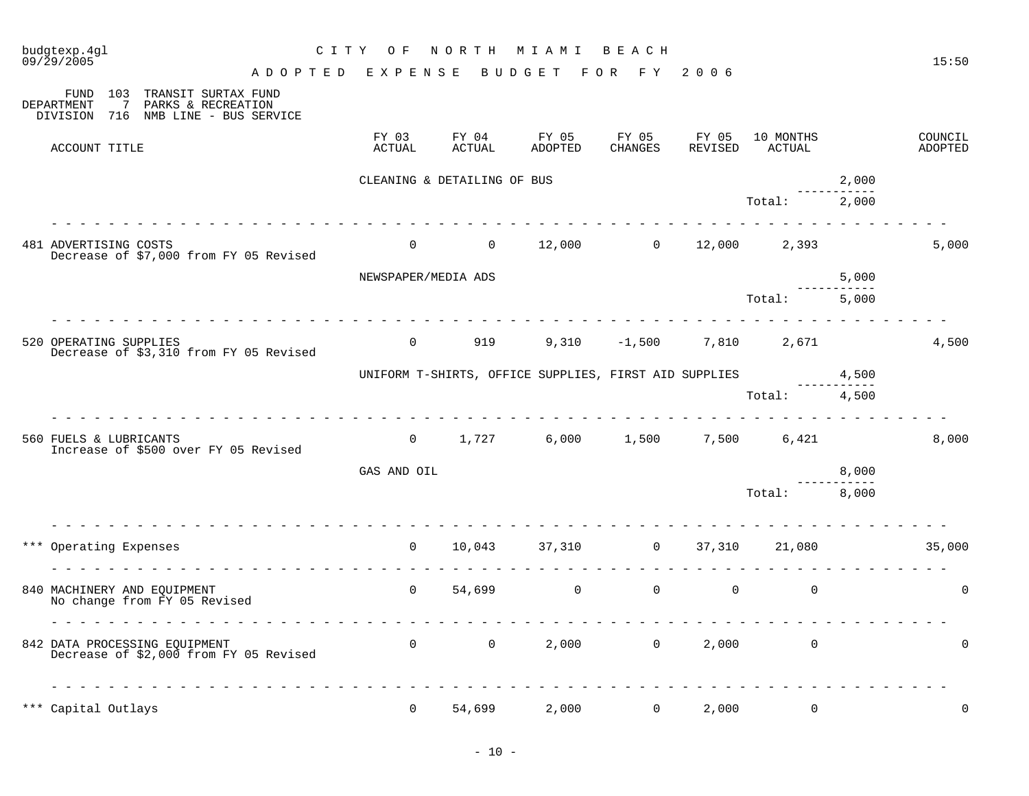| budgtexp.4gl<br>$09/\bar{2}9/2005$ |                                                                                  | C I T Y<br>O F              | NORTH                               | M I A M I                                             | BEACH            |                  |                         |       | 15:50              |
|------------------------------------|----------------------------------------------------------------------------------|-----------------------------|-------------------------------------|-------------------------------------------------------|------------------|------------------|-------------------------|-------|--------------------|
| 103<br>FUND<br>7<br>DEPARTMENT     | TRANSIT SURTAX FUND<br>PARKS & RECREATION<br>DIVISION 716 NMB LINE - BUS SERVICE | ADOPTED EXPENSE             |                                     | BUDGET                                                | FOR FY 2006      |                  |                         |       |                    |
| ACCOUNT TITLE                      |                                                                                  | FY 03<br>ACTUAL             | FY 04<br><b>ACTUAL</b>              | FY 05<br><b>ADOPTED</b>                               | FY 05<br>CHANGES | FY 05<br>REVISED | 10 MONTHS<br>ACTUAL     |       | COUNCIL<br>ADOPTED |
|                                    |                                                                                  | CLEANING & DETAILING OF BUS |                                     |                                                       |                  |                  |                         | 2,000 |                    |
|                                    | .                                                                                |                             |                                     |                                                       |                  |                  | Total:                  | 2,000 |                    |
| 481 ADVERTISING COSTS              | Decrease of \$7,000 from FY 05 Revised                                           | $\overline{0}$              |                                     | $0 \t 12,000 \t 0 \t 12,000 \t 2,393$                 |                  |                  |                         |       | 5,000              |
|                                    |                                                                                  | NEWSPAPER/MEDIA ADS         |                                     |                                                       |                  |                  |                         | 5,000 |                    |
|                                    |                                                                                  |                             |                                     |                                                       |                  |                  | Total:                  | 5,000 |                    |
| 520 OPERATING SUPPLIES             | Decrease of \$3,310 from FY 05 Revised                                           | $\overline{0}$              | 919                                 |                                                       | $9,310 -1,500$   |                  | 7,810 2,671             |       | 4,500              |
|                                    |                                                                                  |                             |                                     | UNIFORM T-SHIRTS, OFFICE SUPPLIES, FIRST AID SUPPLIES |                  |                  |                         | 4,500 |                    |
|                                    |                                                                                  |                             |                                     |                                                       |                  |                  | Total: 4,500            |       |                    |
| 560 FUELS & LUBRICANTS             | Increase of \$500 over FY 05 Revised                                             | $\overline{0}$              | 1,727                               | 6,000                                                 | 1,500            | 7,500            | 6,421                   |       | 8,000              |
|                                    |                                                                                  | GAS AND OIL                 |                                     |                                                       |                  |                  |                         | 8,000 |                    |
|                                    |                                                                                  |                             |                                     |                                                       |                  |                  | Total:                  | 8,000 |                    |
| *** Operating Expenses             |                                                                                  | $\overline{0}$              | 10,043                              |                                                       | 37,310 0         | 37,310           | 21,080                  |       | 35,000             |
| 840 MACHINERY AND EQUIPMENT        | No change from FY 05 Revised                                                     | $\overline{0}$              |                                     | 54,699 0                                              | $\mathsf{O}$     | $\overline{0}$   | $\mathbf 0$             |       | $\mathbf 0$        |
|                                    | .<br>842 DATA PROCESSING EQUIPMENT<br>Decrease of \$2,000 from FY 05 Revised     |                             | $\begin{matrix} 0 & 0 \end{matrix}$ |                                                       | 2,000 0          |                  | 2,000<br>$\overline{0}$ |       | $\Omega$           |
| *** Capital Outlays                |                                                                                  | $\mathbf 0$                 | 54,699                              | 2,000                                                 | $\overline{0}$   | 2,000            | $\mathbf 0$             |       | $\mathbf 0$        |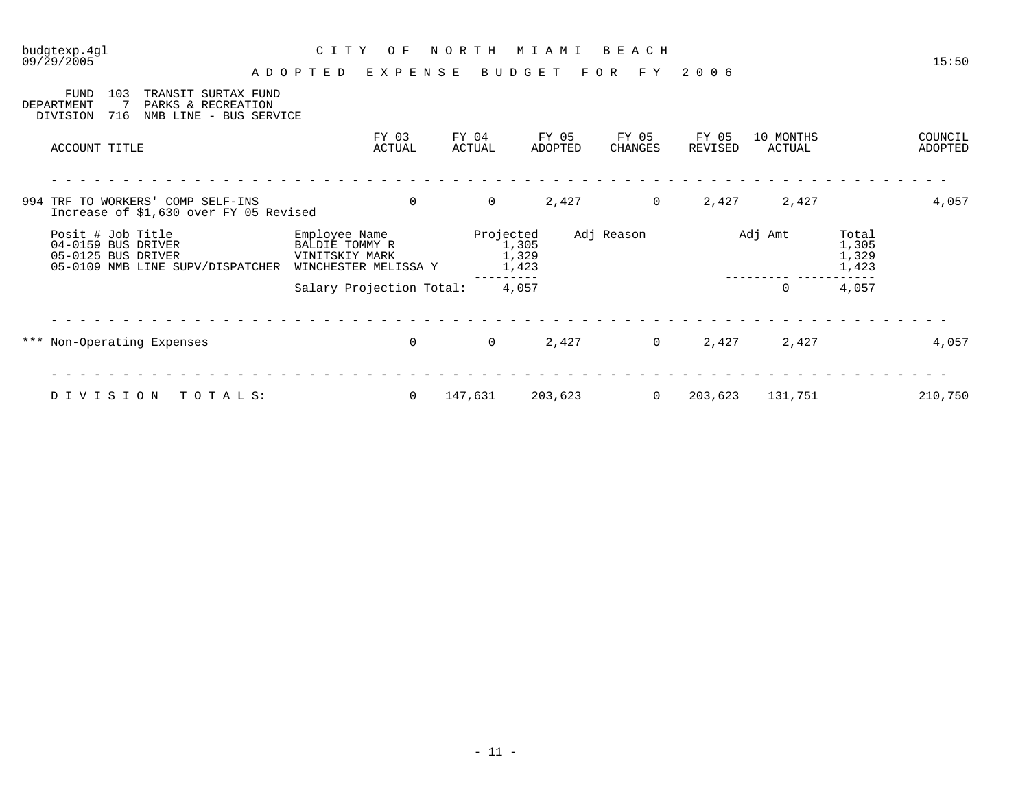|     | budgtexp.4gl<br>09/29/2005                                                                                                 | C I T Y                                                                   | O F                      | NORTH           | MIAMI                                | BEACH            |                  |                     |                                  | 15:50              |
|-----|----------------------------------------------------------------------------------------------------------------------------|---------------------------------------------------------------------------|--------------------------|-----------------|--------------------------------------|------------------|------------------|---------------------|----------------------------------|--------------------|
|     |                                                                                                                            | ADOPTED                                                                   | EXPENSE                  |                 | BUDGET                               | F Y<br>F O R     | 2 0 0 6          |                     |                                  |                    |
|     | <b>FUND</b><br>103<br>TRANSIT SURTAX FUND<br>PARKS & RECREATION<br>DEPARTMENT<br>716<br>DIVISION<br>NMB LINE - BUS SERVICE |                                                                           |                          |                 |                                      |                  |                  |                     |                                  |                    |
|     | ACCOUNT TITLE                                                                                                              |                                                                           | FY 03<br>ACTUAL          | FY 04<br>ACTUAL | FY 05<br>ADOPTED                     | FY 05<br>CHANGES | FY 05<br>REVISED | 10 MONTHS<br>ACTUAL |                                  | COUNCIL<br>ADOPTED |
|     |                                                                                                                            |                                                                           |                          |                 |                                      |                  |                  |                     |                                  |                    |
|     | 994 TRF TO WORKERS' COMP SELF-INS<br>Increase of \$1,630 over FY 05 Revised                                                |                                                                           | $\Omega$                 | $\overline{0}$  | 2,427                                | $\overline{0}$   | 2,427            | 2,427               |                                  | 4,057              |
|     | Posit # Job Title<br>04-0159 BUS DRIVER<br>05-0125 BUS DRIVER<br>05-0109 NMB LINE SUPV/DISPATCHER                          | Employee Name<br>BALDIE TOMMY R<br>VINITSKIY MARK<br>WINCHESTER MELISSA Y |                          |                 | Projected<br>1,305<br>1,329<br>1,423 | Adj Reason       |                  | Adj Amt             | Total<br>1,305<br>1,329<br>1,423 |                    |
|     |                                                                                                                            |                                                                           | Salary Projection Total: |                 | 4,057                                |                  |                  | $\mathbf 0$         | 4,057                            |                    |
|     |                                                                                                                            |                                                                           |                          |                 |                                      |                  |                  |                     |                                  |                    |
| *** | Non-Operating Expenses                                                                                                     |                                                                           | $\mathbf 0$              | $\overline{0}$  | 2,427                                | $\overline{0}$   | 2,427            | 2,427               |                                  | 4,057              |
|     |                                                                                                                            |                                                                           |                          |                 |                                      |                  |                  |                     |                                  |                    |
|     | TOTALS:<br>DIVISION                                                                                                        |                                                                           | $\overline{0}$           | 147,631         | 203,623                              | $\overline{0}$   | 203,623          | 131,751             |                                  | 210,750            |